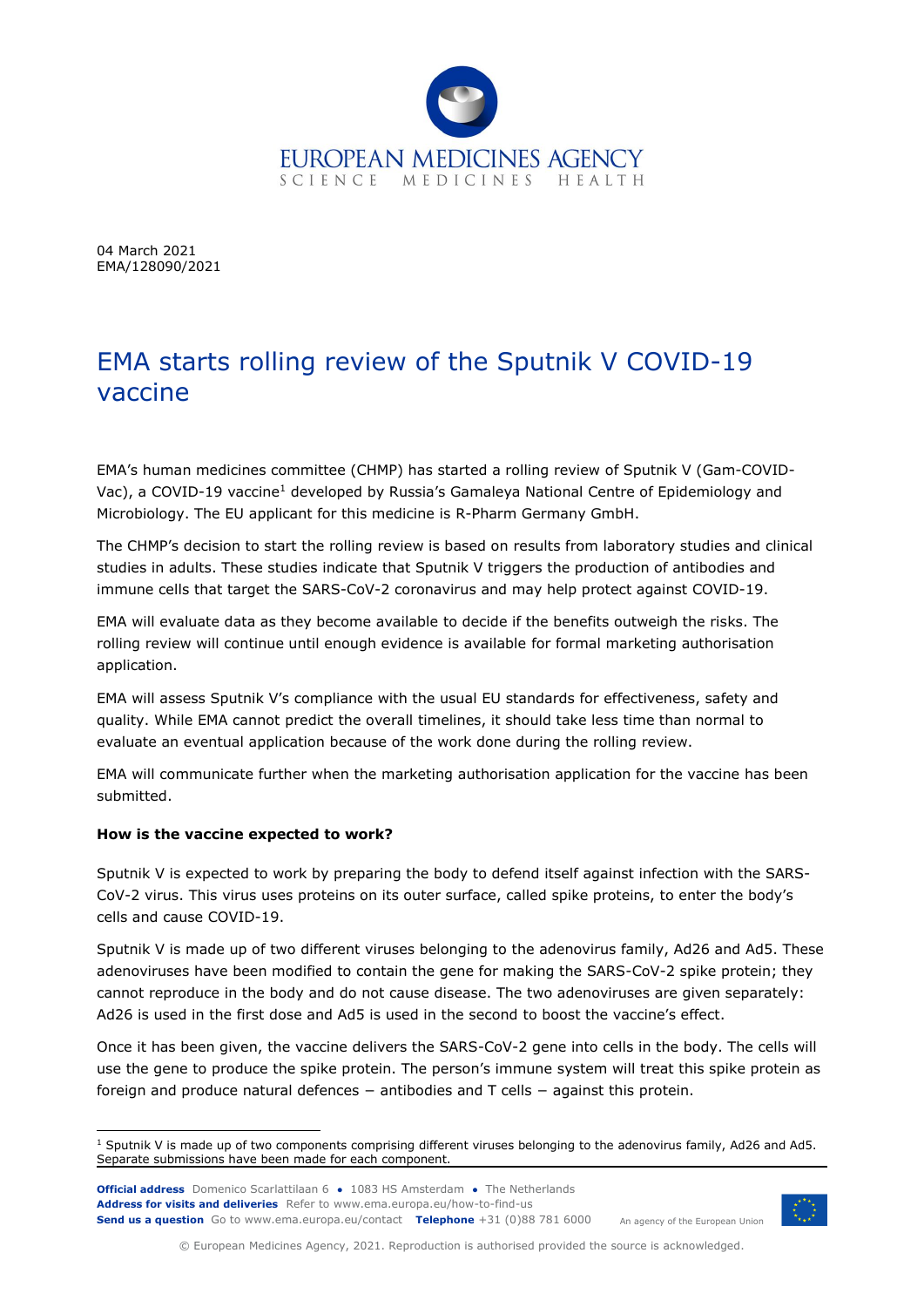

04 March 2021 EMA/128090/2021

## EMA starts rolling review of the Sputnik V COVID-19 vaccine

EMA's human medicines committee (CHMP) has started a rolling review of Sputnik V (Gam-COVID-Vac), a COVID-19 vaccine<sup>1</sup> developed by Russia's Gamaleya National Centre of Epidemiology and Microbiology. The EU applicant for this medicine is R-Pharm Germany GmbH.

The CHMP's decision to start the rolling review is based on results from laboratory studies and clinical studies in adults. These studies indicate that Sputnik V triggers the production of antibodies and immune cells that target the SARS-CoV-2 coronavirus and may help protect against COVID-19.

EMA will evaluate data as they become available to decide if the benefits outweigh the risks. The rolling review will continue until enough evidence is available for formal marketing authorisation application.

EMA will assess Sputnik V's compliance with the usual EU standards for effectiveness, safety and quality. While EMA cannot predict the overall timelines, it should take less time than normal to evaluate an eventual application because of the work done during the rolling review.

EMA will communicate further when the marketing authorisation application for the vaccine has been submitted.

## **How is the vaccine expected to work?**

Sputnik V is expected to work by preparing the body to defend itself against infection with the SARS-CoV-2 virus. This virus uses proteins on its outer surface, called spike proteins, to enter the body's cells and cause COVID-19.

Sputnik V is made up of two different viruses belonging to the adenovirus family, Ad26 and Ad5. These adenoviruses have been modified to contain the gene for making the SARS-CoV-2 spike protein; they cannot reproduce in the body and do not cause disease. The two adenoviruses are given separately: Ad26 is used in the first dose and Ad5 is used in the second to boost the vaccine's effect.

Once it has been given, the vaccine delivers the SARS-CoV-2 gene into cells in the body. The cells will use the gene to produce the spike protein. The person's immune system will treat this spike protein as foreign and produce natural defences − antibodies and T cells − against this protein.

**Official address** Domenico Scarlattilaan 6 **●** 1083 HS Amsterdam **●** The Netherlands **Address for visits and deliveries** Refer to [www.ema.europa.eu/how-to-find-us](http://www.ema.europa.eu/how-to-find-us) **Send us a question** Go t[o www.ema.europa.eu/contact](http://www.ema.europa.eu/contact) **Telephone** +31 (0)88 781 6000



An agency of the European Union

© European Medicines Agency, 2021. Reproduction is authorised provided the source is acknowledged.

ł  $1$  Sputnik V is made up of two components comprising different viruses belonging to the adenovirus family, Ad26 and Ad5. Separate submissions have been made for each component.